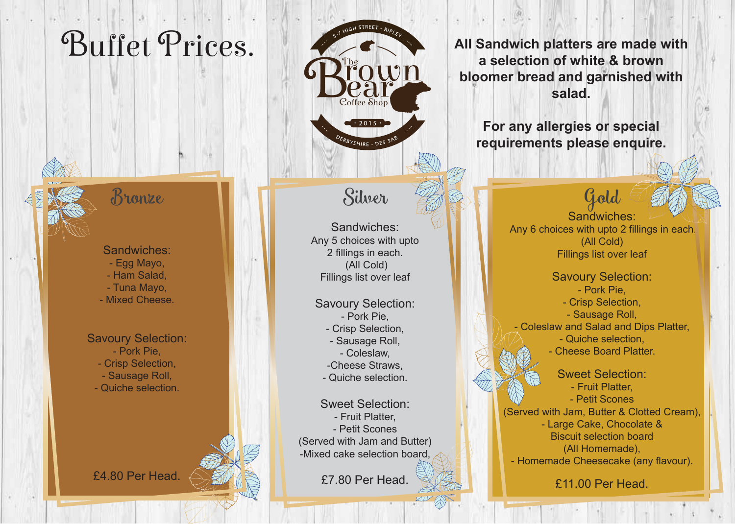### Bronze

Sandwiches: - Egg Mayo, - Ham Salad, - Tuna Mayo, - Mixed Cheese.

### Savoury Selection:

- Pork Pie,
- Crisp Selection,
- Sausage Roll,
- Quiche selection.



£4.80 Per Head.

# Coffee Shop  $\sim$  2015  $\cdot$ DERBYSHIRE - DES 3P

## Silver

Sandwiches: Any 5 choices with upto 2 fillings in each. (All Cold) Fillings list over leaf

Savoury Selection: - Pork Pie, - Crisp Selection,

- Sausage Roll,
- Coleslaw,
- -Cheese Straws,
- Quiche selection.

Sweet Selection: - Fruit Platter, - Petit Scones (Served with Jam and Butter) -Mixed cake selection board,

£7.80 Per Head.

**Buffet Prices.**<br> **All Sandwich platters are made with**<br> **All Sandwich platters are made with**<br> **All Sandwich platters are made with**<br> **All Sandwich platters are made with**<br> **All Sandwich platters are made with a selection of white & brown bloomer bread and garnished with salad.** 

> **For any allergies or special requirements please enquire.**

> > Gold Sandwiches: Any 6 choices with upto 2 fillings in each. (All Cold) Fillings list over leaf

Savoury Selection: - Pork Pie, - Crisp Selection, - Sausage Roll, - Coleslaw and Salad and Dips Platter, - Quiche selection, - Cheese Board Platter.

Sweet Selection: - Fruit Platter, - Petit Scones (Served with Jam, Butter & Clotted Cream), - Large Cake, Chocolate & Biscuit selection board (All Homemade), - Homemade Cheesecake (any flavour).

£11.00 Per Head.